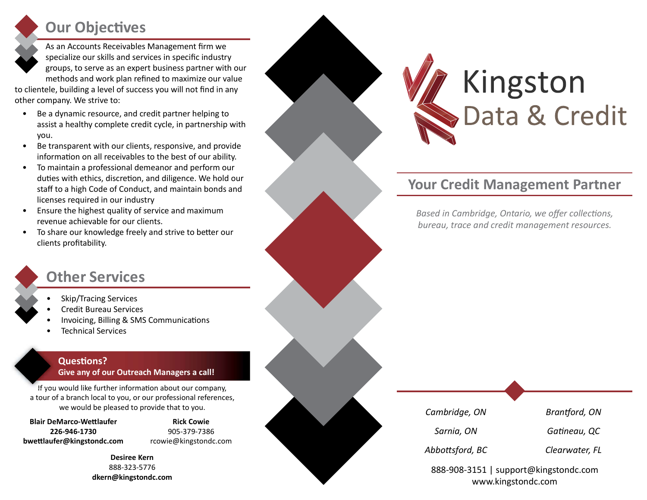## **Our Objectives**

As an Accounts Receivables Management firm we specialize our skills and services in specific industry groups, to serve as an expert business partner with our methods and work plan refined to maximize our value

to clientele, building a level of success you will not find in any other company. We strive to:

- Be a dynamic resource, and credit partner helping to assist a healthy complete credit cycle, in partnership with you.
- Be transparent with our clients, responsive, and provide information on all receivables to the best of our ability.
- To maintain a professional demeanor and perform our duties with ethics, discretion, and diligence. We hold our staff to a high Code of Conduct, and maintain bonds and licenses required in our industry
- Ensure the highest quality of service and maximum revenue achievable for our clients.
- To share our knowledge freely and strive to better our clients profitability.

#### Other Services

- Skip/Tracing Services
- Credit Bureau Services
- Invoicing, Billing & SMS Communications
- Technical Services

#### **Questions?** Give any of our Outreach Managers a call!

If you would like further information about our company, a tour of a branch local to you, or our professional references, we would be pleased to provide that to you.

**Blair DeMarco-Wettlaufer** 226-946-1730 bwettlaufer@kingstondc.com

Rick Cowie 905-379-7386 rcowie@kingstondc.com

Desiree Kern 888-323-5776 dkern@kingstondc.com



#### Your Credit Management Partner

Based in Cambridge, Ontario, we offer collections, bureau, trace and credit management resources.

Cambridge, ON Brantford, ON

Sarnia, ON Gatineau, QC

Abbottsford, BC Clearwater, FL

888-908-3151 | support@kingstondc.com www.kingstondc.com